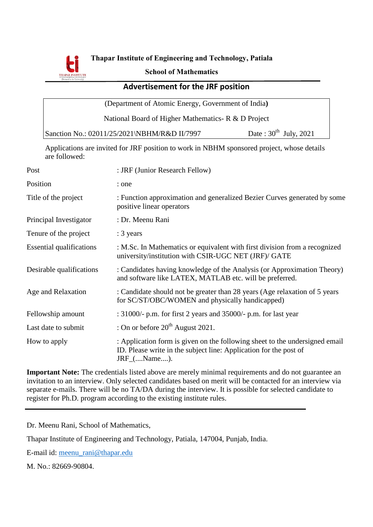

**Thapar Institute of Engineering and Technology, Patiala**

#### **School of Mathematics**

### **Advertisement for the JRF position**

(Department of Atomic Energy, Government of India**)**

National Board of Higher Mathematics- R & D Project

| Sanction No.: 02011/25/2021\NBHM/R&D II/7997 | Date: $30^{\text{th}}$ July, 2021 |
|----------------------------------------------|-----------------------------------|
|----------------------------------------------|-----------------------------------|

Applications are invited for JRF position to work in NBHM sponsored project, whose details are followed:

| Post                            | : JRF (Junior Research Fellow)                                                                                                                                      |
|---------------------------------|---------------------------------------------------------------------------------------------------------------------------------------------------------------------|
| Position                        | : one                                                                                                                                                               |
| Title of the project            | : Function approximation and generalized Bezier Curves generated by some<br>positive linear operators                                                               |
| Principal Investigator          | : Dr. Meenu Rani                                                                                                                                                    |
| Tenure of the project           | : 3 years                                                                                                                                                           |
| <b>Essential qualifications</b> | : M.Sc. In Mathematics or equivalent with first division from a recognized<br>university/institution with CSIR-UGC NET (JRF)/ GATE                                  |
| Desirable qualifications        | : Candidates having knowledge of the Analysis (or Approximation Theory)<br>and software like LATEX, MATLAB etc. will be preferred.                                  |
| Age and Relaxation              | : Candidate should not be greater than 28 years (Age relaxation of 5 years<br>for SC/ST/OBC/WOMEN and physically handicapped)                                       |
| Fellowship amount               | : $31000/-$ p.m. for first 2 years and $35000/-$ p.m. for last year                                                                                                 |
| Last date to submit             | : On or before $20^{th}$ August 2021.                                                                                                                               |
| How to apply                    | : Application form is given on the following sheet to the undersigned email<br>ID. Please write in the subject line: Application for the post of<br>$JRF_{}$ Name). |

**Important Note:** The credentials listed above are merely minimal requirements and do not guarantee an invitation to an interview. Only selected candidates based on merit will be contacted for an interview via separate e-mails. There will be no TA/DA during the interview. It is possible for selected candidate to register for Ph.D. program according to the existing institute rules.

Dr. Meenu Rani, School of Mathematics,

Thapar Institute of Engineering and Technology, Patiala, 147004, Punjab, India.

E-mail id: [meenu\\_rani@thapar.edu](mailto:meenu_rani@thapar.edu)

M. No.: 82669-90804.

ֺ֖֚֞֝֬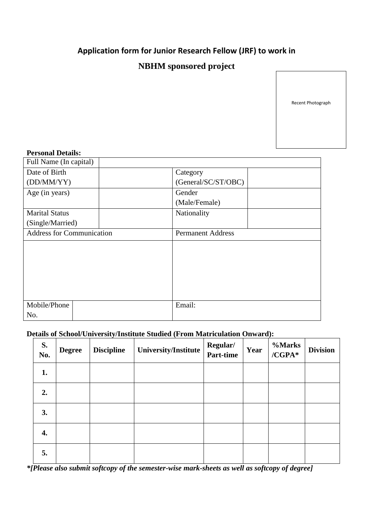# **Application form for Junior Research Fellow (JRF) to work in**

## **NBHM sponsored project**

Recent Photograph

#### **Personal Details:**

| Full Name (In capital)           |  |                          |  |  |
|----------------------------------|--|--------------------------|--|--|
| Date of Birth                    |  | Category                 |  |  |
| (DD/MM/YY)                       |  | (General/SC/ST/OBC)      |  |  |
| Age (in years)                   |  | Gender                   |  |  |
|                                  |  | (Male/Female)            |  |  |
| <b>Marital Status</b>            |  | Nationality              |  |  |
| (Single/Married)                 |  |                          |  |  |
| <b>Address for Communication</b> |  | <b>Permanent Address</b> |  |  |
|                                  |  |                          |  |  |
|                                  |  |                          |  |  |
| Mobile/Phone                     |  | Email:                   |  |  |
| No.                              |  |                          |  |  |

### **Details of School/University/Institute Studied (From Matriculation Onward):**

| S.<br>No. | <b>Degree</b> | <b>Discipline</b> | University/Institute | Regular/<br>Part-time | Year | %Marks<br>$/CGPA*$ | <b>Division</b> |
|-----------|---------------|-------------------|----------------------|-----------------------|------|--------------------|-----------------|
| 1.        |               |                   |                      |                       |      |                    |                 |
| 2.        |               |                   |                      |                       |      |                    |                 |
| 3.        |               |                   |                      |                       |      |                    |                 |
| 4.        |               |                   |                      |                       |      |                    |                 |
| 5.        |               |                   |                      |                       |      |                    |                 |

*\*[Please also submit softcopy of the semester-wise mark-sheets as well as softcopy of degree]*